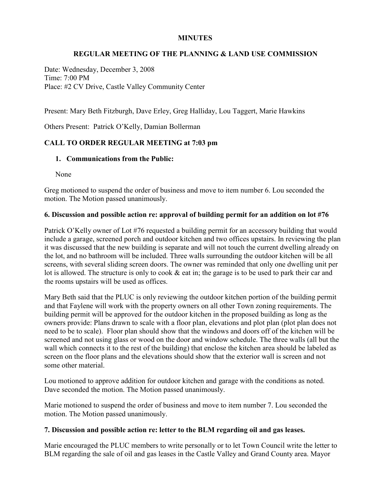# **MINUTES**

### **REGULAR MEETING OF THE PLANNING & LAND USE COMMISSION**

Date: Wednesday, December 3, 2008 Time: 7:00 PM Place: #2 CV Drive, Castle Valley Community Center

Present: Mary Beth Fitzburgh, Dave Erley, Greg Halliday, Lou Taggert, Marie Hawkins

Others Present: Patrick O'Kelly, Damian Bollerman

# **CALL TO ORDER REGULAR MEETING at 7:03 pm**

#### **1. Communications from the Public:**

None

Greg motioned to suspend the order of business and move to item number 6. Lou seconded the motion. The Motion passed unanimously.

#### **6. Discussion and possible action re: approval of building permit for an addition on lot #76**

Patrick O'Kelly owner of Lot #76 requested a building permit for an accessory building that would include a garage, screened porch and outdoor kitchen and two offices upstairs. In reviewing the plan it was discussed that the new building is separate and will not touch the current dwelling already on the lot, and no bathroom will be included. Three walls surrounding the outdoor kitchen will be all screens, with several sliding screen doors. The owner was reminded that only one dwelling unit per lot is allowed. The structure is only to cook & eat in; the garage is to be used to park their car and the rooms upstairs will be used as offices.

Mary Beth said that the PLUC is only reviewing the outdoor kitchen portion of the building permit and that Faylene will work with the property owners on all other Town zoning requirements. The building permit will be approved for the outdoor kitchen in the proposed building as long as the owners provide: Plans drawn to scale with a floor plan, elevations and plot plan (plot plan does not need to be to scale). Floor plan should show that the windows and doors off of the kitchen will be screened and not using glass or wood on the door and window schedule. The three walls (all but the wall which connects it to the rest of the building) that enclose the kitchen area should be labeled as screen on the floor plans and the elevations should show that the exterior wall is screen and not some other material.

Lou motioned to approve addition for outdoor kitchen and garage with the conditions as noted. Dave seconded the motion. The Motion passed unanimously.

Marie motioned to suspend the order of business and move to item number 7. Lou seconded the motion. The Motion passed unanimously.

#### **7. Discussion and possible action re: letter to the BLM regarding oil and gas leases.**

Marie encouraged the PLUC members to write personally or to let Town Council write the letter to BLM regarding the sale of oil and gas leases in the Castle Valley and Grand County area. Mayor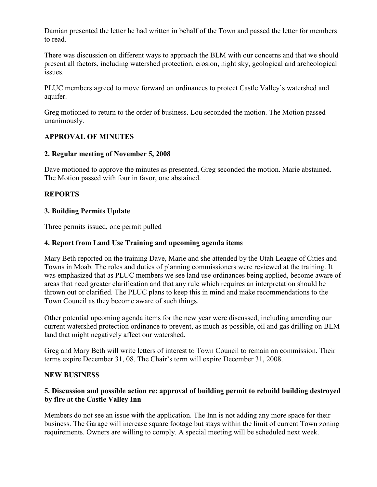Damian presented the letter he had written in behalf of the Town and passed the letter for members to read.

There was discussion on different ways to approach the BLM with our concerns and that we should present all factors, including watershed protection, erosion, night sky, geological and archeological issues.

PLUC members agreed to move forward on ordinances to protect Castle Valley's watershed and aquifer.

Greg motioned to return to the order of business. Lou seconded the motion. The Motion passed unanimously.

# **APPROVAL OF MINUTES**

# **2. Regular meeting of November 5, 2008**

Dave motioned to approve the minutes as presented, Greg seconded the motion. Marie abstained. The Motion passed with four in favor, one abstained.

# **REPORTS**

### **3. Building Permits Update**

Three permits issued, one permit pulled

### **4. Report from Land Use Training and upcoming agenda items**

Mary Beth reported on the training Dave, Marie and she attended by the Utah League of Cities and Towns in Moab. The roles and duties of planning commissioners were reviewed at the training. It was emphasized that as PLUC members we see land use ordinances being applied, become aware of areas that need greater clarification and that any rule which requires an interpretation should be thrown out or clarified. The PLUC plans to keep this in mind and make recommendations to the Town Council as they become aware of such things.

Other potential upcoming agenda items for the new year were discussed, including amending our current watershed protection ordinance to prevent, as much as possible, oil and gas drilling on BLM land that might negatively affect our watershed.

Greg and Mary Beth will write letters of interest to Town Council to remain on commission. Their terms expire December 31, 08. The Chair's term will expire December 31, 2008.

#### **NEW BUSINESS**

# **5. Discussion and possible action re: approval of building permit to rebuild building destroyed by fire at the Castle Valley Inn**

Members do not see an issue with the application. The Inn is not adding any more space for their business. The Garage will increase square footage but stays within the limit of current Town zoning requirements. Owners are willing to comply. A special meeting will be scheduled next week.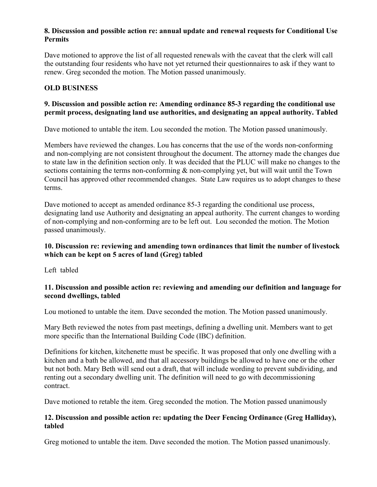# **8. Discussion and possible action re: annual update and renewal requests for Conditional Use Permits**

Dave motioned to approve the list of all requested renewals with the caveat that the clerk will call the outstanding four residents who have not yet returned their questionnaires to ask if they want to renew. Greg seconded the motion. The Motion passed unanimously.

# **OLD BUSINESS**

### **9. Discussion and possible action re: Amending ordinance 85-3 regarding the conditional use permit process, designating land use authorities, and designating an appeal authority. Tabled**

Dave motioned to untable the item. Lou seconded the motion. The Motion passed unanimously.

Members have reviewed the changes. Lou has concerns that the use of the words non-conforming and non-complying are not consistent throughout the document. The attorney made the changes due to state law in the definition section only. It was decided that the PLUC will make no changes to the sections containing the terms non-conforming  $\&$  non-complying yet, but will wait until the Town Council has approved other recommended changes. State Law requires us to adopt changes to these terms.

Dave motioned to accept as amended ordinance 85-3 regarding the conditional use process, designating land use Authority and designating an appeal authority. The current changes to wording of non-complying and non-conforming are to be left out. Lou seconded the motion. The Motion passed unanimously.

# **10. Discussion re: reviewing and amending town ordinances that limit the number of livestock which can be kept on 5 acres of land (Greg) tabled**

Left tabled

# **11. Discussion and possible action re: reviewing and amending our definition and language for second dwellings, tabled**

Lou motioned to untable the item. Dave seconded the motion. The Motion passed unanimously.

Mary Beth reviewed the notes from past meetings, defining a dwelling unit. Members want to get more specific than the International Building Code (IBC) definition.

Definitions for kitchen, kitchenette must be specific. It was proposed that only one dwelling with a kitchen and a bath be allowed, and that all accessory buildings be allowed to have one or the other but not both. Mary Beth will send out a draft, that will include wording to prevent subdividing, and renting out a secondary dwelling unit. The definition will need to go with decommissioning contract.

Dave motioned to retable the item. Greg seconded the motion. The Motion passed unanimously

### **12. Discussion and possible action re: updating the Deer Fencing Ordinance (Greg Halliday), tabled**

Greg motioned to untable the item. Dave seconded the motion. The Motion passed unanimously.